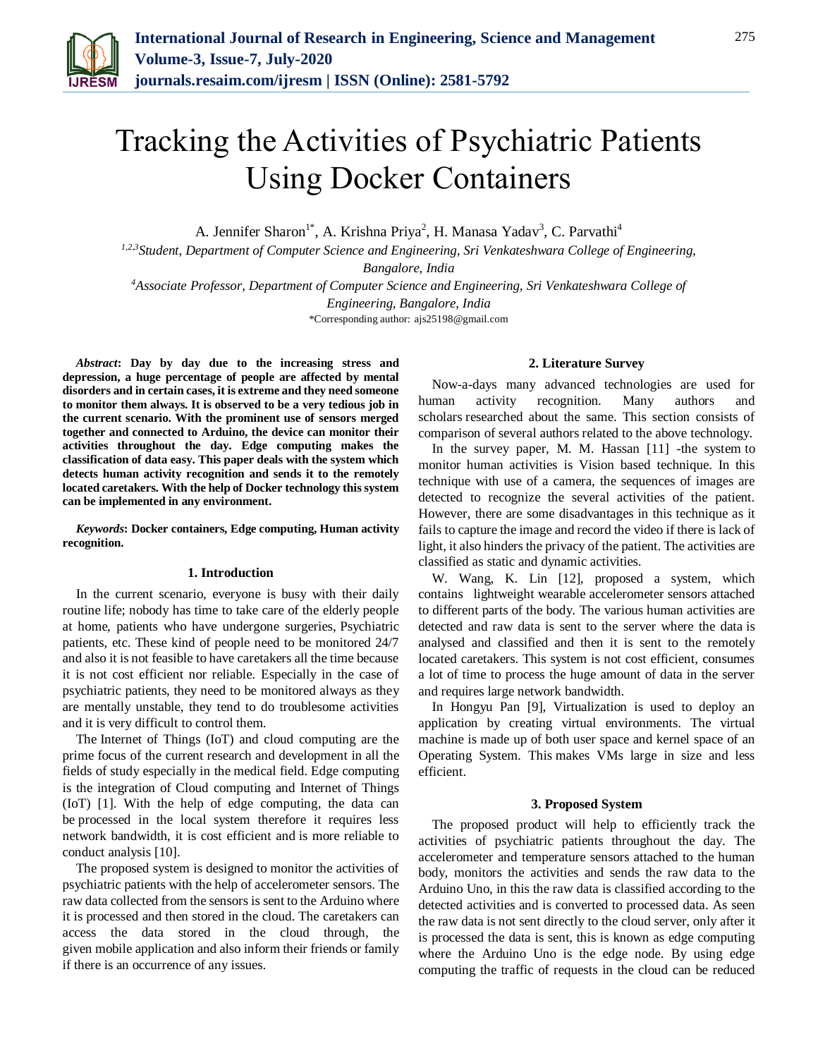

# Tracking the Activities of Psychiatric Patients Using Docker Containers

A. Jennifer Sharon<sup>1\*</sup>, A. Krishna Priya<sup>2</sup>, H. Manasa Yadav<sup>3</sup>, C. Parvathi<sup>4</sup>

*1,2,3Student, Department of Computer Science and Engineering, Sri Venkateshwara College of Engineering,* 

*Bangalore, India*

*<sup>4</sup>Associate Professor, Department of Computer Science and Engineering, Sri Venkateshwara College of Engineering, Bangalore, India*

\*Corresponding author: ajs25198@gmail.com

*Abstract***: Day by day due to the increasing stress and depression, a huge percentage of people are affected by mental disorders and in certain cases, it is extreme and they need someone to monitor them always. It is observed to be a very tedious job in the current scenario. With the prominent use of sensors merged together and connected to Arduino, the device can monitor their activities throughout the day. Edge computing makes the classification of data easy. This paper deals with the system which detects human activity recognition and sends it to the remotely located caretakers. With the help of Docker technology this system can be implemented in any environment.**

*Keywords***: Docker containers, Edge computing, Human activity recognition.**

## **1. Introduction**

In the current scenario, everyone is busy with their daily routine life; nobody has time to take care of the elderly people at home, patients who have undergone surgeries, Psychiatric patients, etc. These kind of people need to be monitored 24/7 and also it is not feasible to have caretakers all the time because it is not cost efficient nor reliable. Especially in the case of psychiatric patients, they need to be monitored always as they are mentally unstable, they tend to do troublesome activities and it is very difficult to control them.

The Internet of Things (IoT) and cloud computing are the prime focus of the current research and development in all the fields of study especially in the medical field. Edge computing is the integration of Cloud computing and Internet of Things (IoT) [1]. With the help of edge computing, the data can be processed in the local system therefore it requires less network bandwidth, it is cost efficient and is more reliable to conduct analysis [10].

The proposed system is designed to monitor the activities of psychiatric patients with the help of accelerometer sensors. The raw data collected from the sensors is sent to the Arduino where it is processed and then stored in the cloud. The caretakers can access the data stored in the cloud through, the given mobile application and also inform their friends or family if there is an occurrence of any issues.

## **2. Literature Survey**

Now-a-days many advanced technologies are used for human activity recognition. Many authors and scholars researched about the same. This section consists of comparison of several authors related to the above technology.

In the survey paper, M. M. Hassan [11] -the system to monitor human activities is Vision based technique. In this technique with use of a camera, the sequences of images are detected to recognize the several activities of the patient. However, there are some disadvantages in this technique as it fails to capture the image and record the video if there is lack of light, it also hinders the privacy of the patient. The activities are classified as static and dynamic activities.

W. Wang, K. Lin [12], proposed a system, which contains lightweight wearable accelerometer sensors attached to different parts of the body. The various human activities are detected and raw data is sent to the server where the data is analysed and classified and then it is sent to the remotely located caretakers. This system is not cost efficient, consumes a lot of time to process the huge amount of data in the server and requires large network bandwidth.

In Hongyu Pan [9], Virtualization is used to deploy an application by creating virtual environments. The virtual machine is made up of both user space and kernel space of an Operating System. This makes VMs large in size and less efficient.

## **3. Proposed System**

The proposed product will help to efficiently track the activities of psychiatric patients throughout the day. The accelerometer and temperature sensors attached to the human body, monitors the activities and sends the raw data to the Arduino Uno, in this the raw data is classified according to the detected activities and is converted to processed data. As seen the raw data is not sent directly to the cloud server, only after it is processed the data is sent, this is known as edge computing where the Arduino Uno is the edge node. By using edge computing the traffic of requests in the cloud can be reduced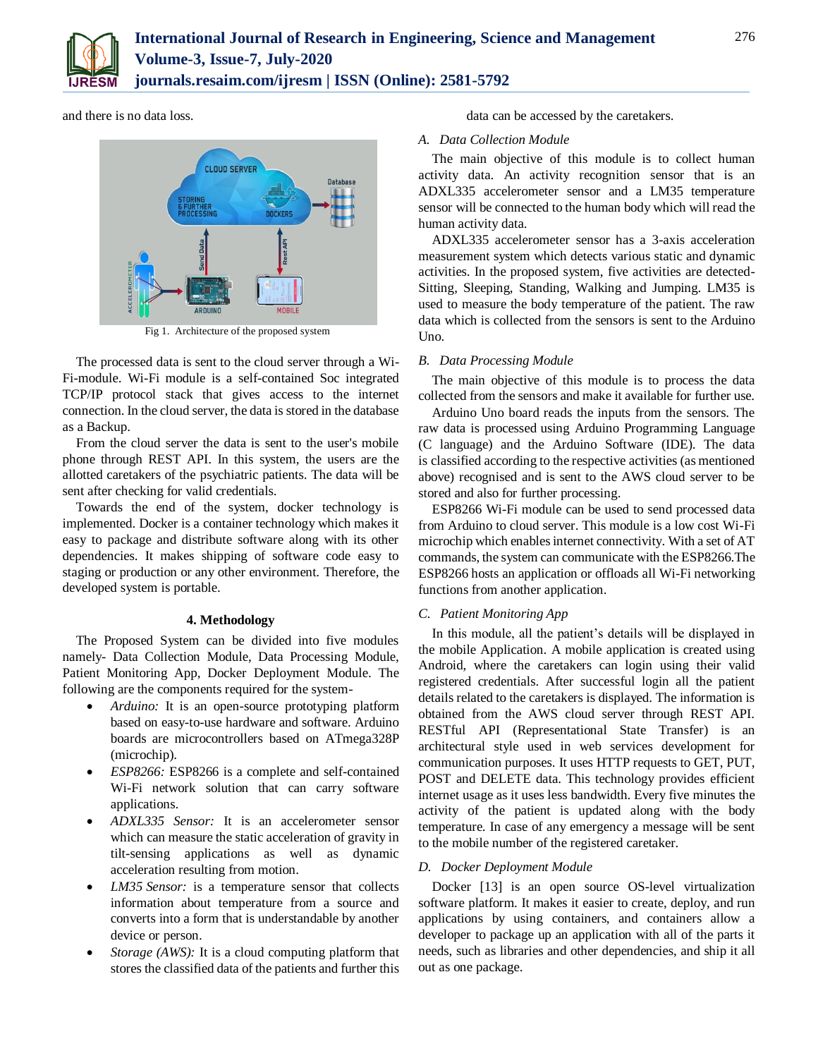

and there is no data loss.



Fig 1. Architecture of the proposed system

The processed data is sent to the cloud server through a Wi-Fi-module. Wi-Fi module is a self-contained Soc integrated TCP/IP protocol stack that gives access to the internet connection. In the cloud server, the data is stored in the database as a Backup.

From the cloud server the data is sent to the user's mobile phone through REST API. In this system, the users are the allotted caretakers of the psychiatric patients. The data will be sent after checking for valid credentials.

Towards the end of the system, docker technology is implemented. Docker is a container technology which makes it easy to package and distribute software along with its other dependencies. It makes shipping of software code easy to staging or production or any other environment. Therefore, the developed system is portable.

# **4. Methodology**

The Proposed System can be divided into five modules namely- Data Collection Module, Data Processing Module, Patient Monitoring App, Docker Deployment Module. The following are the components required for the system-

- *Arduino:* It is an open-source prototyping platform based on easy-to-use hardware and software. Arduino boards are microcontrollers based on ATmega328P (microchip).
- *ESP8266:* ESP8266 is a complete and self-contained Wi-Fi network solution that can carry software applications.
- *ADXL335 Sensor:* It is an accelerometer sensor which can measure the static acceleration of gravity in tilt-sensing applications as well as dynamic acceleration resulting from motion.
- *LM35 Sensor:* is a temperature sensor that collects information about temperature from a source and converts into a form that is understandable by another device or person.
- *Storage (AWS):* It is a cloud computing platform that stores the classified data of the patients and further this

data can be accessed by the caretakers.

# *A. Data Collection Module*

The main objective of this module is to collect human activity data. An activity recognition sensor that is an ADXL335 accelerometer sensor and a LM35 temperature sensor will be connected to the human body which will read the human activity data.

ADXL335 accelerometer sensor has a 3-axis acceleration measurement system which detects various static and dynamic activities. In the proposed system, five activities are detected-Sitting, Sleeping, Standing, Walking and Jumping. LM35 is used to measure the body temperature of the patient. The raw data which is collected from the sensors is sent to the Arduino Uno.

# *B. Data Processing Module*

The main objective of this module is to process the data collected from the sensors and make it available for further use.

Arduino Uno board reads the inputs from the sensors. The raw data is processed using Arduino Programming Language (C language) and the Arduino Software (IDE). The data is classified according to the respective activities (as mentioned above) recognised and is sent to the AWS cloud server to be stored and also for further processing.

ESP8266 Wi-Fi module can be used to send processed data from Arduino to cloud server. This module is a low cost Wi-Fi microchip which enables internet connectivity. With a set of AT commands, the system can communicate with the ESP8266.The ESP8266 hosts an application or offloads all Wi-Fi networking functions from another application.

# *C. Patient Monitoring App*

In this module, all the patient's details will be displayed in the mobile Application. A mobile application is created using Android, where the caretakers can login using their valid registered credentials. After successful login all the patient details related to the caretakers is displayed. The information is obtained from the AWS cloud server through REST API. RESTful API (Representational State Transfer) is an architectural style used in web services development for communication purposes. It uses HTTP requests to GET, PUT, POST and DELETE data. This technology provides efficient internet usage as it uses less bandwidth. Every five minutes the activity of the patient is updated along with the body temperature. In case of any emergency a message will be sent to the mobile number of the registered caretaker.

# *D. Docker Deployment Module*

Docker [13] is an open source OS-level virtualization software platform. It makes it easier to create, deploy, and run applications by using containers, and containers allow a developer to package up an application with all of the parts it needs, such as libraries and other dependencies, and ship it all out as one package.